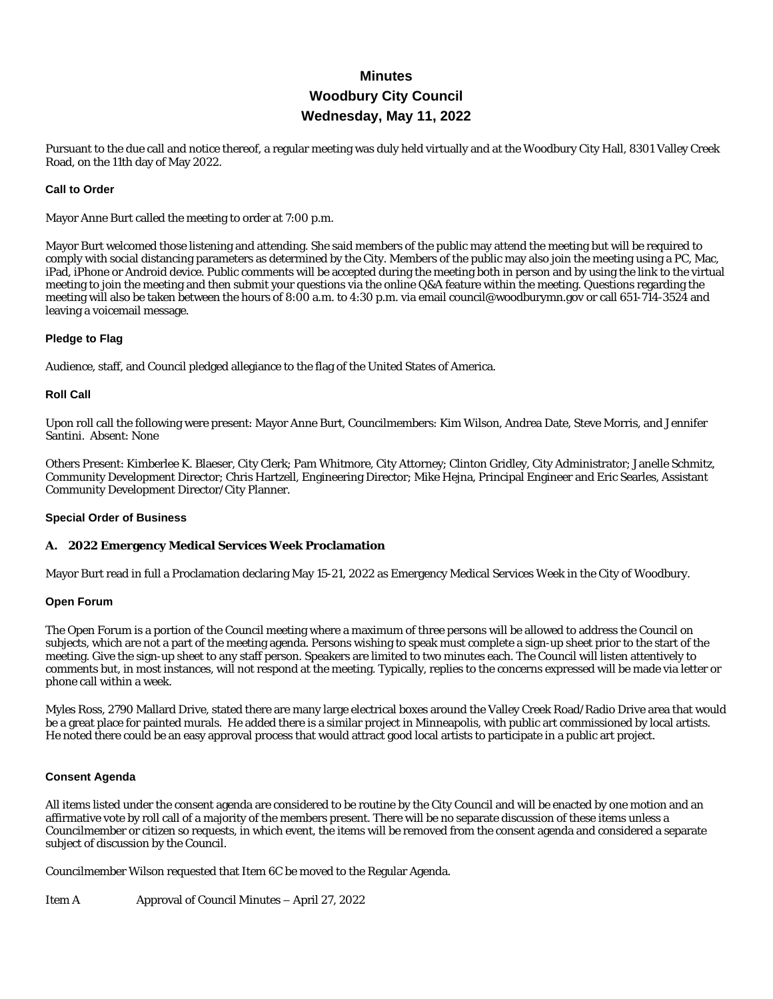# **Minutes Woodbury City Council Wednesday, May 11, 2022**

Pursuant to the due call and notice thereof, a regular meeting was duly held virtually and at the Woodbury City Hall, 8301 Valley Creek Road, on the 11th day of May 2022.

## **Call to Order**

Mayor Anne Burt called the meeting to order at 7:00 p.m.

Mayor Burt welcomed those listening and attending. She said members of the public may attend the meeting but will be required to comply with social distancing parameters as determined by the City. Members of the public may also join the meeting using a PC, Mac, iPad, iPhone or Android device. Public comments will be accepted during the meeting both in person and by using the link to the virtual meeting to join the meeting and then submit your questions via the online Q&A feature within the meeting. Questions regarding the meeting will also be taken between the hours of 8:00 a.m. to 4:30 p.m. via email council@woodburymn.gov or call 651-714-3524 and leaving a voicemail message.

## **Pledge to Flag**

Audience, staff, and Council pledged allegiance to the flag of the United States of America.

## **Roll Call**

Upon roll call the following were present: Mayor Anne Burt, Councilmembers: Kim Wilson, Andrea Date, Steve Morris, and Jennifer Santini. Absent: None

Others Present: Kimberlee K. Blaeser, City Clerk; Pam Whitmore, City Attorney; Clinton Gridley, City Administrator; Janelle Schmitz, Community Development Director; Chris Hartzell, Engineering Director; Mike Hejna, Principal Engineer and Eric Searles, Assistant Community Development Director/City Planner.

## **Special Order of Business**

## **A. 2022 Emergency Medical Services Week Proclamation**

Mayor Burt read in full a Proclamation declaring May 15-21, 2022 as Emergency Medical Services Week in the City of Woodbury.

## **Open Forum**

The Open Forum is a portion of the Council meeting where a maximum of three persons will be allowed to address the Council on subjects, which are not a part of the meeting agenda. Persons wishing to speak must complete a sign-up sheet prior to the start of the meeting. Give the sign-up sheet to any staff person. Speakers are limited to two minutes each. The Council will listen attentively to comments but, in most instances, will not respond at the meeting. Typically, replies to the concerns expressed will be made via letter or phone call within a week.

Myles Ross, 2790 Mallard Drive, stated there are many large electrical boxes around the Valley Creek Road/Radio Drive area that would be a great place for painted murals. He added there is a similar project in Minneapolis, with public art commissioned by local artists. He noted there could be an easy approval process that would attract good local artists to participate in a public art project.

## **Consent Agenda**

All items listed under the consent agenda are considered to be routine by the City Council and will be enacted by one motion and an affirmative vote by roll call of a majority of the members present. There will be no separate discussion of these items unless a Councilmember or citizen so requests, in which event, the items will be removed from the consent agenda and considered a separate subject of discussion by the Council.

Councilmember Wilson requested that Item 6C be moved to the Regular Agenda.

Item A Approval of Council Minutes – April 27, 2022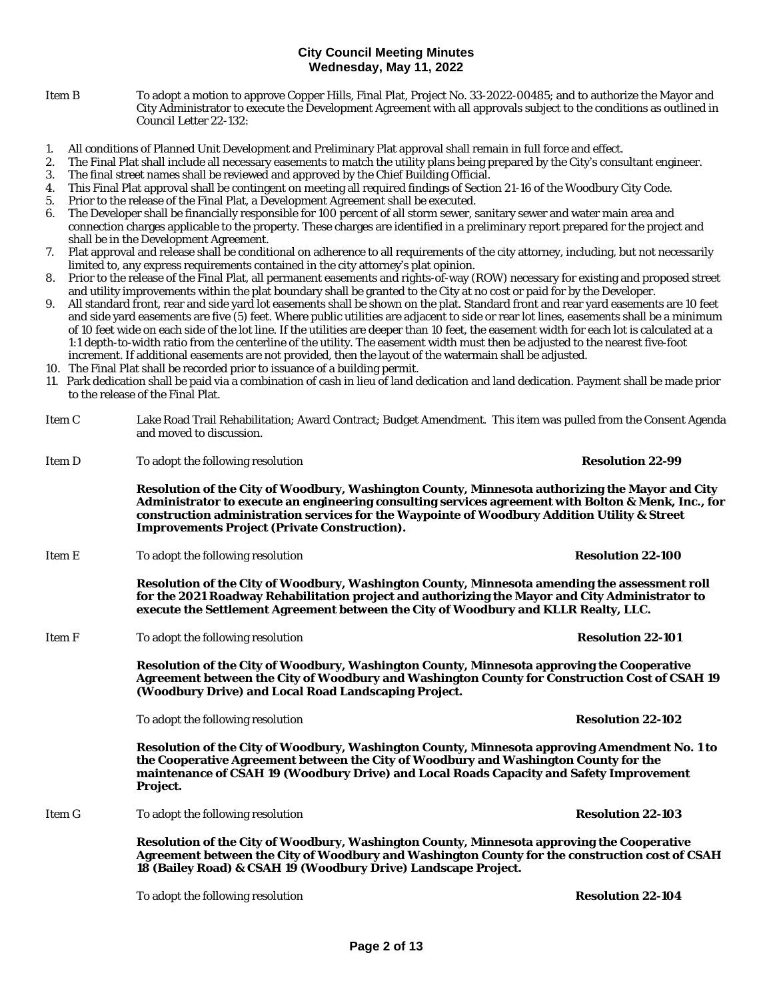- Item B To adopt a motion to approve Copper Hills, Final Plat, Project No. 33-2022-00485; and to authorize the Mayor and City Administrator to execute the Development Agreement with all approvals subject to the conditions as outlined in Council Letter 22-132:
- 1. All conditions of Planned Unit Development and Preliminary Plat approval shall remain in full force and effect.
- 2. The Final Plat shall include all necessary easements to match the utility plans being prepared by the City's consultant engineer.
- 3. The final street names shall be reviewed and approved by the Chief Building Official.
- 4. This Final Plat approval shall be contingent on meeting all required findings of Section 21-16 of the Woodbury City Code.
- 5. Prior to the release of the Final Plat, a Development Agreement shall be executed.
- 6. The Developer shall be financially responsible for 100 percent of all storm sewer, sanitary sewer and water main area and connection charges applicable to the property. These charges are identified in a preliminary report prepared for the project and shall be in the Development Agreement.
- 7. Plat approval and release shall be conditional on adherence to all requirements of the city attorney, including, but not necessarily limited to, any express requirements contained in the city attorney's plat opinion.
- 8. Prior to the release of the Final Plat, all permanent easements and rights-of-way (ROW) necessary for existing and proposed street and utility improvements within the plat boundary shall be granted to the City at no cost or paid for by the Developer.
- 9. All standard front, rear and side yard lot easements shall be shown on the plat. Standard front and rear yard easements are 10 feet and side yard easements are five (5) feet. Where public utilities are adjacent to side or rear lot lines, easements shall be a minimum of 10 feet wide on each side of the lot line. If the utilities are deeper than 10 feet, the easement width for each lot is calculated at a 1:1 depth-to-width ratio from the centerline of the utility. The easement width must then be adjusted to the nearest five-foot increment. If additional easements are not provided, then the layout of the watermain shall be adjusted.
- 10. The Final Plat shall be recorded prior to issuance of a building permit.
- 11. Park dedication shall be paid via a combination of cash in lieu of land dedication and land dedication. Payment shall be made prior to the release of the Final Plat.
- Item C Lake Road Trail Rehabilitation; Award Contract; Budget Amendment. This item was pulled from the Consent Agenda and moved to discussion.
- Item D To adopt the following resolution **Resolution Resolution 22-99**

**Resolution of the City of Woodbury, Washington County, Minnesota authorizing the Mayor and City Administrator to execute an engineering consulting services agreement with Bolton & Menk, Inc., for construction administration services for the Waypointe of Woodbury Addition Utility & Street Improvements Project (Private Construction).**

Item E To adopt the following resolution **Resolution 22-100**

**Resolution of the City of Woodbury, Washington County, Minnesota amending the assessment roll for the 2021 Roadway Rehabilitation project and authorizing the Mayor and City Administrator to execute the Settlement Agreement between the City of Woodbury and KLLR Realty, LLC.**

Item F To adopt the following resolution **Resolution 22-101**

**Resolution of the City of Woodbury, Washington County, Minnesota approving the Cooperative Agreement between the City of Woodbury and Washington County for Construction Cost of CSAH 19 (Woodbury Drive) and Local Road Landscaping Project.**

To adopt the following resolution **Resolution 22-102**

**Resolution of the City of Woodbury, Washington County, Minnesota approving Amendment No. 1 to the Cooperative Agreement between the City of Woodbury and Washington County for the maintenance of CSAH 19 (Woodbury Drive) and Local Roads Capacity and Safety Improvement Project.**

Item G To adopt the following resolution **Resolution 22-103**

**Resolution of the City of Woodbury, Washington County, Minnesota approving the Cooperative Agreement between the City of Woodbury and Washington County for the construction cost of CSAH 18 (Bailey Road) & CSAH 19 (Woodbury Drive) Landscape Project.** 

To adopt the following resolution **Resolution 22-104 Resolution 22-104**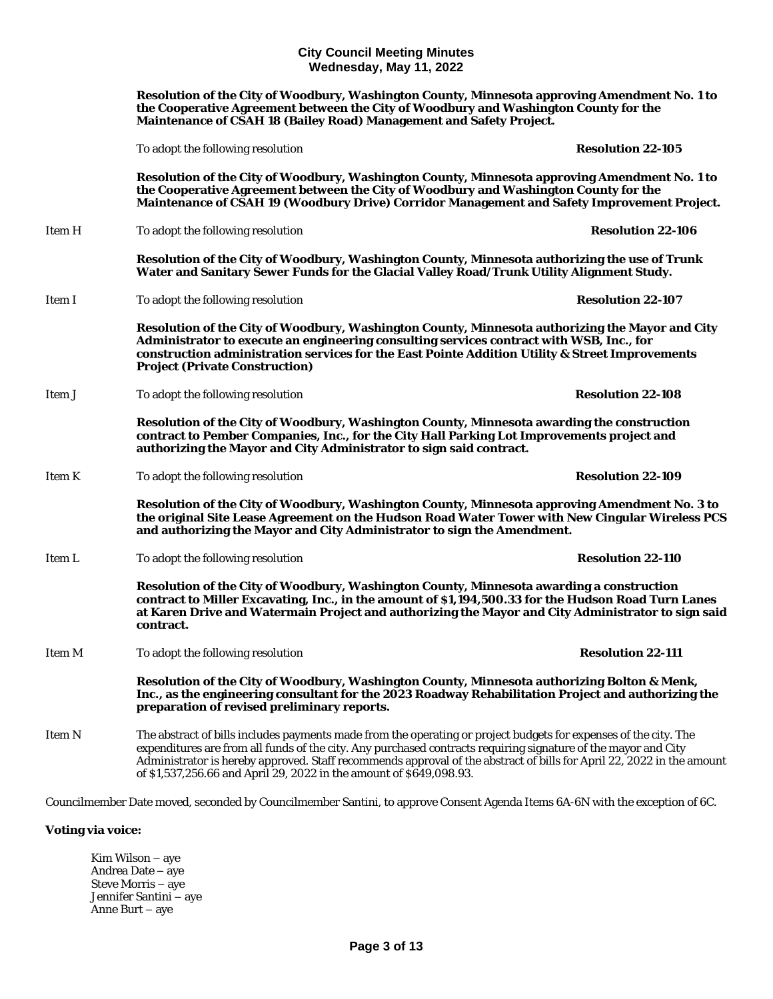**Resolution of the City of Woodbury, Washington County, Minnesota approving Amendment No. 1 to the Cooperative Agreement between the City of Woodbury and Washington County for the Maintenance of CSAH 18 (Bailey Road) Management and Safety Project.**  To adopt the following resolution **Resolution 22-105 Resolution of the City of Woodbury, Washington County, Minnesota approving Amendment No. 1 to the Cooperative Agreement between the City of Woodbury and Washington County for the Maintenance of CSAH 19 (Woodbury Drive) Corridor Management and Safety Improvement Project.** Item H To adopt the following resolution **Resolution 22-106 Resolution of the City of Woodbury, Washington County, Minnesota authorizing the use of Trunk Water and Sanitary Sewer Funds for the Glacial Valley Road/Trunk Utility Alignment Study.** Item I To adopt the following resolution **Resolution 22-107 Resolution of the City of Woodbury, Washington County, Minnesota authorizing the Mayor and City Administrator to execute an engineering consulting services contract with WSB, Inc., for construction administration services for the East Pointe Addition Utility & Street Improvements Project (Private Construction)** Item J To adopt the following resolution **Resolution Resolution 22-108 Resolution of the City of Woodbury, Washington County, Minnesota awarding the construction contract to Pember Companies, Inc., for the City Hall Parking Lot Improvements project and authorizing the Mayor and City Administrator to sign said contract.** Item K To adopt the following resolution **Resolution 22-109 Resolution of the City of Woodbury, Washington County, Minnesota approving Amendment No. 3 to the original Site Lease Agreement on the Hudson Road Water Tower with New Cingular Wireless PCS and authorizing the Mayor and City Administrator to sign the Amendment.** Item L To adopt the following resolution **Resolution 122-110 Resolution of the City of Woodbury, Washington County, Minnesota awarding a construction contract to Miller Excavating, Inc., in the amount of \$1,194,500.33 for the Hudson Road Turn Lanes at Karen Drive and Watermain Project and authorizing the Mayor and City Administrator to sign said contract.** Item M To adopt the following resolution **Resolution 22-111 Resolution of the City of Woodbury, Washington County, Minnesota authorizing Bolton & Menk, Inc., as the engineering consultant for the 2023 Roadway Rehabilitation Project and authorizing the preparation of revised preliminary reports.** Item N The abstract of bills includes payments made from the operating or project budgets for expenses of the city. The expenditures are from all funds of the city. Any purchased contracts requiring signature of the mayor and City Administrator is hereby approved. Staff recommends approval of the abstract of bills for April 22, 2022 in the amount of \$1,537,256.66 and April 29, 2022 in the amount of \$649,098.93. Councilmember Date moved, seconded by Councilmember Santini, to approve Consent Agenda Items 6A-6N with the exception of 6C.

## **Voting via voice:**

Kim Wilson – aye Andrea Date – aye Steve Morris – aye Jennifer Santini – aye Anne Burt – aye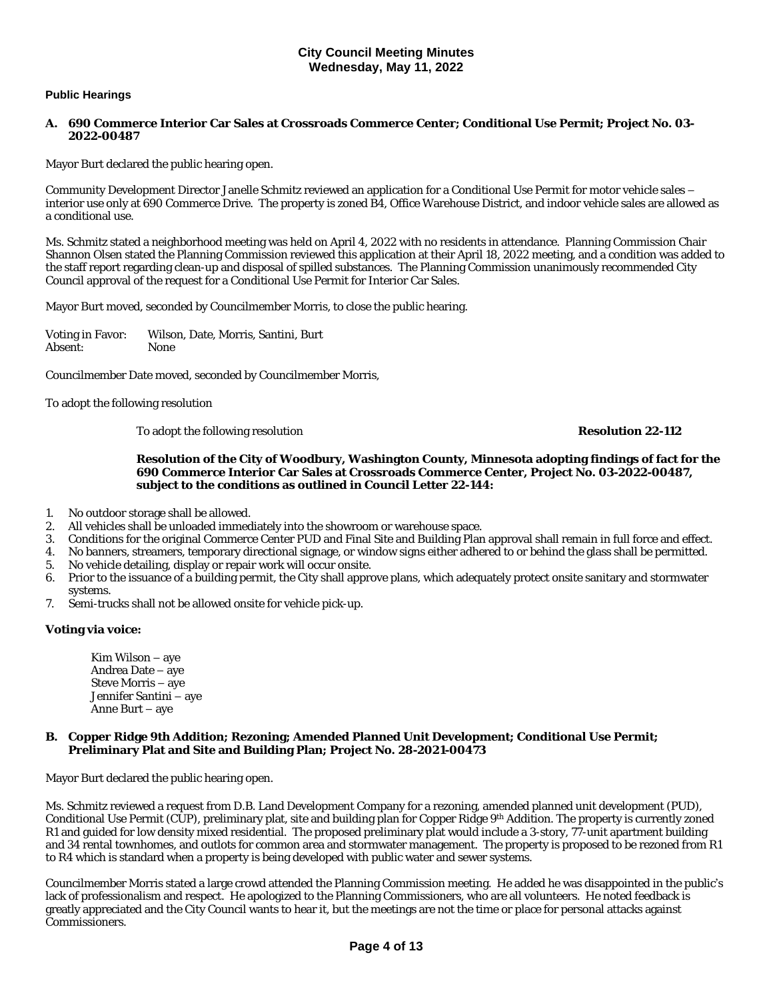## **Public Hearings**

#### **A. 690 Commerce Interior Car Sales at Crossroads Commerce Center; Conditional Use Permit; Project No. 03- 2022-00487**

Mayor Burt declared the public hearing open.

Community Development Director Janelle Schmitz reviewed an application for a Conditional Use Permit for motor vehicle sales – interior use only at 690 Commerce Drive. The property is zoned B4, Office Warehouse District, and indoor vehicle sales are allowed as a conditional use.

Ms. Schmitz stated a neighborhood meeting was held on April 4, 2022 with no residents in attendance. Planning Commission Chair Shannon Olsen stated the Planning Commission reviewed this application at their April 18, 2022 meeting, and a condition was added to the staff report regarding clean-up and disposal of spilled substances. The Planning Commission unanimously recommended City Council approval of the request for a Conditional Use Permit for Interior Car Sales.

Mayor Burt moved, seconded by Councilmember Morris, to close the public hearing.

Voting in Favor: Wilson, Date, Morris, Santini, Burt Absent:

Councilmember Date moved, seconded by Councilmember Morris,

To adopt the following resolution

To adopt the following resolution **Resolution 22-112**

**Resolution of the City of Woodbury, Washington County, Minnesota adopting findings of fact for the 690 Commerce Interior Car Sales at Crossroads Commerce Center, Project No. 03-2022-00487, subject to the conditions as outlined in Council Letter 22-144:**

- 1. No outdoor storage shall be allowed.<br>2. All vehicles shall be unloaded immed
- 2. All vehicles shall be unloaded immediately into the showroom or warehouse space.<br>3. Conditions for the original Commerce Center PUD and Final Site and Building Plan
- 3. Conditions for the original Commerce Center PUD and Final Site and Building Plan approval shall remain in full force and effect.
- 4. No banners, streamers, temporary directional signage, or window signs either adhered to or behind the glass shall be permitted.
- 5. No vehicle detailing, display or repair work will occur onsite.
- 6. Prior to the issuance of a building permit, the City shall approve plans, which adequately protect onsite sanitary and stormwater systems.
- 7. Semi-trucks shall not be allowed onsite for vehicle pick-up.

## **Voting via voice:**

Kim Wilson – aye Andrea Date – aye Steve Morris – aye Jennifer Santini – aye Anne Burt – aye

#### **B. Copper Ridge 9th Addition; Rezoning; Amended Planned Unit Development; Conditional Use Permit; Preliminary Plat and Site and Building Plan; Project No. 28-2021-00473**

Mayor Burt declared the public hearing open.

Ms. Schmitz reviewed a request from D.B. Land Development Company for a rezoning, amended planned unit development (PUD), Conditional Use Permit (CUP), preliminary plat, site and building plan for Copper Ridge 9th Addition. The property is currently zoned R1 and guided for low density mixed residential. The proposed preliminary plat would include a 3-story, 77-unit apartment building and 34 rental townhomes, and outlots for common area and stormwater management. The property is proposed to be rezoned from R1 to R4 which is standard when a property is being developed with public water and sewer systems.

Councilmember Morris stated a large crowd attended the Planning Commission meeting. He added he was disappointed in the public's lack of professionalism and respect. He apologized to the Planning Commissioners, who are all volunteers. He noted feedback is greatly appreciated and the City Council wants to hear it, but the meetings are not the time or place for personal attacks against Commissioners.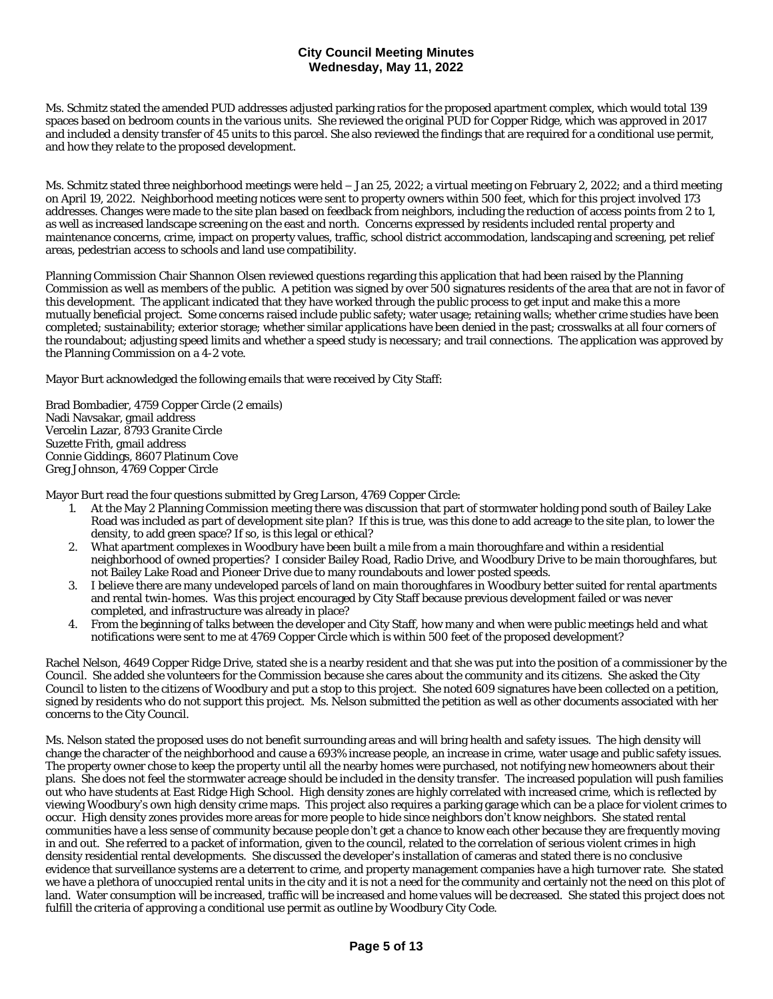Ms. Schmitz stated the amended PUD addresses adjusted parking ratios for the proposed apartment complex, which would total 139 spaces based on bedroom counts in the various units. She reviewed the original PUD for Copper Ridge, which was approved in 2017 and included a density transfer of 45 units to this parcel. She also reviewed the findings that are required for a conditional use permit, and how they relate to the proposed development.

Ms. Schmitz stated three neighborhood meetings were held – Jan 25, 2022; a virtual meeting on February 2, 2022; and a third meeting on April 19, 2022. Neighborhood meeting notices were sent to property owners within 500 feet, which for this project involved 173 addresses. Changes were made to the site plan based on feedback from neighbors, including the reduction of access points from 2 to 1, as well as increased landscape screening on the east and north. Concerns expressed by residents included rental property and maintenance concerns, crime, impact on property values, traffic, school district accommodation, landscaping and screening, pet relief areas, pedestrian access to schools and land use compatibility.

Planning Commission Chair Shannon Olsen reviewed questions regarding this application that had been raised by the Planning Commission as well as members of the public. A petition was signed by over 500 signatures residents of the area that are not in favor of this development. The applicant indicated that they have worked through the public process to get input and make this a more mutually beneficial project. Some concerns raised include public safety; water usage; retaining walls; whether crime studies have been completed; sustainability; exterior storage; whether similar applications have been denied in the past; crosswalks at all four corners of the roundabout; adjusting speed limits and whether a speed study is necessary; and trail connections. The application was approved by the Planning Commission on a 4-2 vote.

Mayor Burt acknowledged the following emails that were received by City Staff:

Brad Bombadier, 4759 Copper Circle (2 emails) Nadi Navsakar, gmail address Vercelin Lazar, 8793 Granite Circle Suzette Frith, gmail address Connie Giddings, 8607 Platinum Cove Greg Johnson, 4769 Copper Circle

Mayor Burt read the four questions submitted by Greg Larson, 4769 Copper Circle:

- 1. At the May 2 Planning Commission meeting there was discussion that part of stormwater holding pond south of Bailey Lake Road was included as part of development site plan? If this is true, was this done to add acreage to the site plan, to lower the density, to add green space? If so, is this legal or ethical?
- 2. What apartment complexes in Woodbury have been built a mile from a main thoroughfare and within a residential neighborhood of owned properties? I consider Bailey Road, Radio Drive, and Woodbury Drive to be main thoroughfares, but not Bailey Lake Road and Pioneer Drive due to many roundabouts and lower posted speeds.
- 3. I believe there are many undeveloped parcels of land on main thoroughfares in Woodbury better suited for rental apartments and rental twin-homes. Was this project encouraged by City Staff because previous development failed or was never completed, and infrastructure was already in place?
- 4. From the beginning of talks between the developer and City Staff, how many and when were public meetings held and what notifications were sent to me at 4769 Copper Circle which is within 500 feet of the proposed development?

Rachel Nelson, 4649 Copper Ridge Drive, stated she is a nearby resident and that she was put into the position of a commissioner by the Council. She added she volunteers for the Commission because she cares about the community and its citizens. She asked the City Council to listen to the citizens of Woodbury and put a stop to this project. She noted 609 signatures have been collected on a petition, signed by residents who do not support this project. Ms. Nelson submitted the petition as well as other documents associated with her concerns to the City Council.

Ms. Nelson stated the proposed uses do not benefit surrounding areas and will bring health and safety issues. The high density will change the character of the neighborhood and cause a 693% increase people, an increase in crime, water usage and public safety issues. The property owner chose to keep the property until all the nearby homes were purchased, not notifying new homeowners about their plans. She does not feel the stormwater acreage should be included in the density transfer. The increased population will push families out who have students at East Ridge High School. High density zones are highly correlated with increased crime, which is reflected by viewing Woodbury's own high density crime maps. This project also requires a parking garage which can be a place for violent crimes to occur. High density zones provides more areas for more people to hide since neighbors don't know neighbors. She stated rental communities have a less sense of community because people don't get a chance to know each other because they are frequently moving in and out. She referred to a packet of information, given to the council, related to the correlation of serious violent crimes in high density residential rental developments. She discussed the developer's installation of cameras and stated there is no conclusive evidence that surveillance systems are a deterrent to crime, and property management companies have a high turnover rate. She stated we have a plethora of unoccupied rental units in the city and it is not a need for the community and certainly not the need on this plot of land. Water consumption will be increased, traffic will be increased and home values will be decreased. She stated this project does not fulfill the criteria of approving a conditional use permit as outline by Woodbury City Code.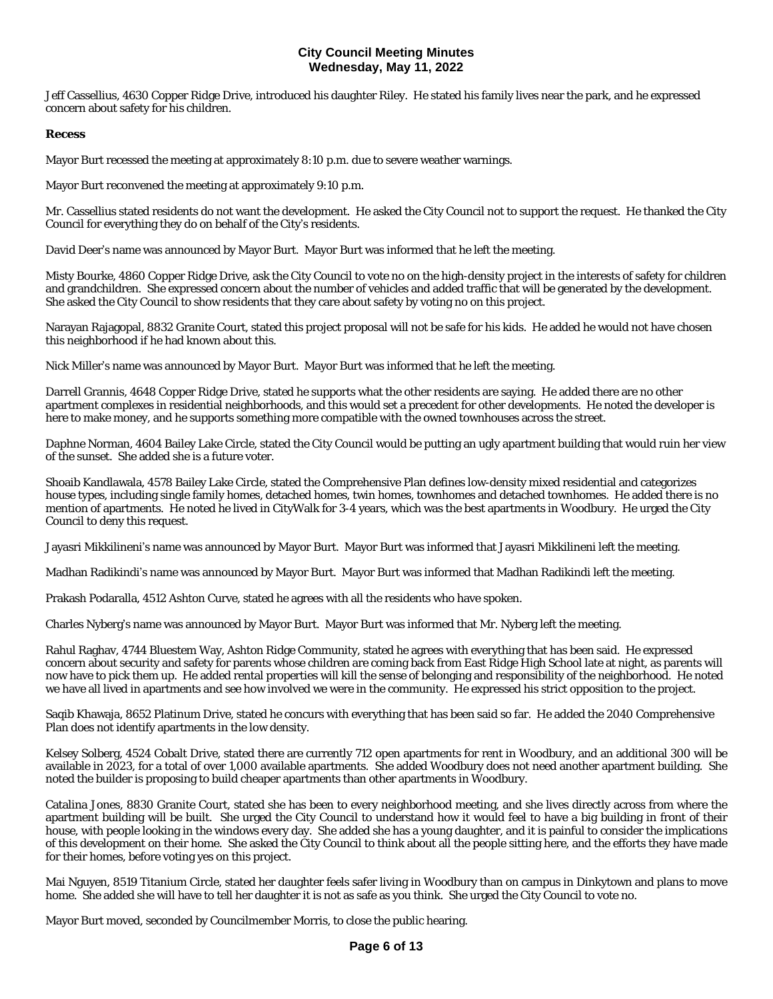Jeff Cassellius, 4630 Copper Ridge Drive, introduced his daughter Riley. He stated his family lives near the park, and he expressed concern about safety for his children.

#### **Recess**

Mayor Burt recessed the meeting at approximately 8:10 p.m. due to severe weather warnings.

Mayor Burt reconvened the meeting at approximately 9:10 p.m.

Mr. Cassellius stated residents do not want the development. He asked the City Council not to support the request. He thanked the City Council for everything they do on behalf of the City's residents.

David Deer's name was announced by Mayor Burt. Mayor Burt was informed that he left the meeting.

Misty Bourke, 4860 Copper Ridge Drive, ask the City Council to vote no on the high-density project in the interests of safety for children and grandchildren. She expressed concern about the number of vehicles and added traffic that will be generated by the development. She asked the City Council to show residents that they care about safety by voting no on this project.

Narayan Rajagopal, 8832 Granite Court, stated this project proposal will not be safe for his kids. He added he would not have chosen this neighborhood if he had known about this.

Nick Miller's name was announced by Mayor Burt. Mayor Burt was informed that he left the meeting.

Darrell Grannis, 4648 Copper Ridge Drive, stated he supports what the other residents are saying. He added there are no other apartment complexes in residential neighborhoods, and this would set a precedent for other developments. He noted the developer is here to make money, and he supports something more compatible with the owned townhouses across the street.

Daphne Norman, 4604 Bailey Lake Circle, stated the City Council would be putting an ugly apartment building that would ruin her view of the sunset. She added she is a future voter.

Shoaib Kandlawala, 4578 Bailey Lake Circle, stated the Comprehensive Plan defines low-density mixed residential and categorizes house types, including single family homes, detached homes, twin homes, townhomes and detached townhomes. He added there is no mention of apartments. He noted he lived in CityWalk for 3-4 years, which was the best apartments in Woodbury. He urged the City Council to deny this request.

Jayasri Mikkilineni's name was announced by Mayor Burt. Mayor Burt was informed that Jayasri Mikkilineni left the meeting.

Madhan Radikindi's name was announced by Mayor Burt. Mayor Burt was informed that Madhan Radikindi left the meeting.

Prakash Podaralla, 4512 Ashton Curve, stated he agrees with all the residents who have spoken.

Charles Nyberg's name was announced by Mayor Burt. Mayor Burt was informed that Mr. Nyberg left the meeting.

Rahul Raghav, 4744 Bluestem Way, Ashton Ridge Community, stated he agrees with everything that has been said. He expressed concern about security and safety for parents whose children are coming back from East Ridge High School late at night, as parents will now have to pick them up. He added rental properties will kill the sense of belonging and responsibility of the neighborhood. He noted we have all lived in apartments and see how involved we were in the community. He expressed his strict opposition to the project.

Saqib Khawaja, 8652 Platinum Drive, stated he concurs with everything that has been said so far. He added the 2040 Comprehensive Plan does not identify apartments in the low density.

Kelsey Solberg, 4524 Cobalt Drive, stated there are currently 712 open apartments for rent in Woodbury, and an additional 300 will be available in 2023, for a total of over 1,000 available apartments. She added Woodbury does not need another apartment building. She noted the builder is proposing to build cheaper apartments than other apartments in Woodbury.

Catalina Jones, 8830 Granite Court, stated she has been to every neighborhood meeting, and she lives directly across from where the apartment building will be built. She urged the City Council to understand how it would feel to have a big building in front of their house, with people looking in the windows every day. She added she has a young daughter, and it is painful to consider the implications of this development on their home. She asked the City Council to think about all the people sitting here, and the efforts they have made for their homes, before voting yes on this project.

Mai Nguyen, 8519 Titanium Circle, stated her daughter feels safer living in Woodbury than on campus in Dinkytown and plans to move home. She added she will have to tell her daughter it is not as safe as you think. She urged the City Council to vote no.

Mayor Burt moved, seconded by Councilmember Morris, to close the public hearing.

## **Page 6 of 13**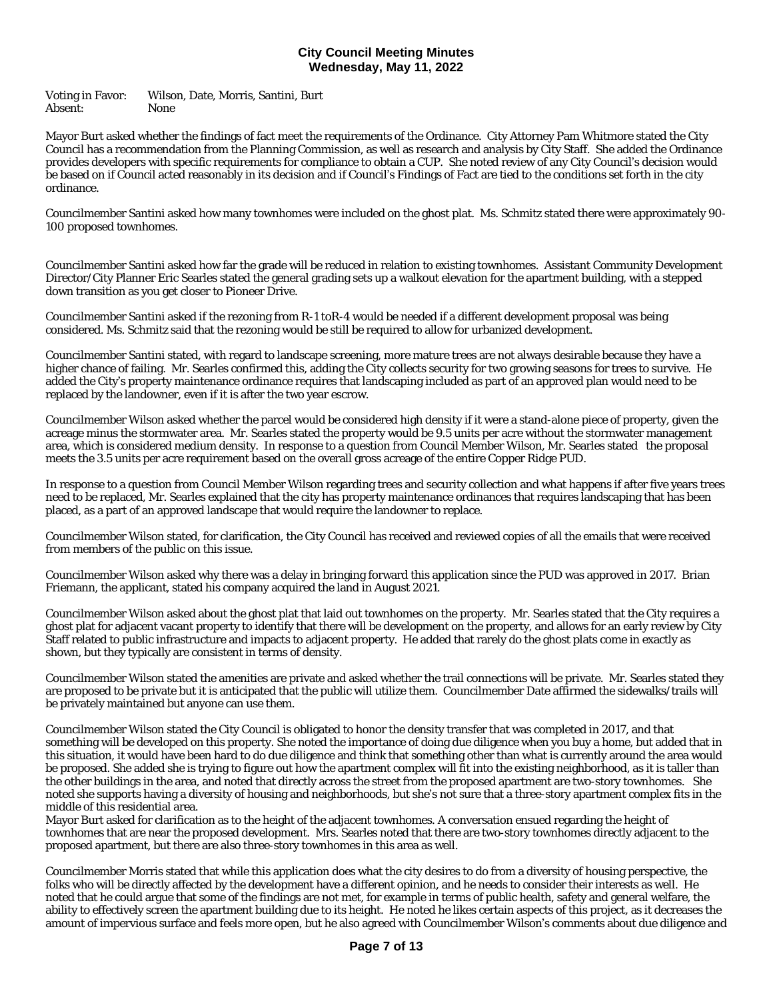Voting in Favor: Wilson, Date, Morris, Santini, Burt Absent: None

Mayor Burt asked whether the findings of fact meet the requirements of the Ordinance. City Attorney Pam Whitmore stated the City Council has a recommendation from the Planning Commission, as well as research and analysis by City Staff. She added the Ordinance provides developers with specific requirements for compliance to obtain a CUP. She noted review of any City Council's decision would be based on if Council acted reasonably in its decision and if Council's Findings of Fact are tied to the conditions set forth in the city ordinance.

Councilmember Santini asked how many townhomes were included on the ghost plat. Ms. Schmitz stated there were approximately 90- 100 proposed townhomes.

Councilmember Santini asked how far the grade will be reduced in relation to existing townhomes. Assistant Community Development Director/City Planner Eric Searles stated the general grading sets up a walkout elevation for the apartment building, with a stepped down transition as you get closer to Pioneer Drive.

Councilmember Santini asked if the rezoning from R-1 toR-4 would be needed if a different development proposal was being considered. Ms. Schmitz said that the rezoning would be still be required to allow for urbanized development.

Councilmember Santini stated, with regard to landscape screening, more mature trees are not always desirable because they have a higher chance of failing. Mr. Searles confirmed this, adding the City collects security for two growing seasons for trees to survive. He added the City's property maintenance ordinance requires that landscaping included as part of an approved plan would need to be replaced by the landowner, even if it is after the two year escrow.

Councilmember Wilson asked whether the parcel would be considered high density if it were a stand-alone piece of property, given the acreage minus the stormwater area. Mr. Searles stated the property would be 9.5 units per acre without the stormwater management area, which is considered medium density. In response to a question from Council Member Wilson, Mr. Searles stated the proposal meets the 3.5 units per acre requirement based on the overall gross acreage of the entire Copper Ridge PUD.

In response to a question from Council Member Wilson regarding trees and security collection and what happens if after five years trees need to be replaced, Mr. Searles explained that the city has property maintenance ordinances that requires landscaping that has been placed, as a part of an approved landscape that would require the landowner to replace.

Councilmember Wilson stated, for clarification, the City Council has received and reviewed copies of all the emails that were received from members of the public on this issue.

Councilmember Wilson asked why there was a delay in bringing forward this application since the PUD was approved in 2017. Brian Friemann, the applicant, stated his company acquired the land in August 2021.

Councilmember Wilson asked about the ghost plat that laid out townhomes on the property. Mr. Searles stated that the City requires a ghost plat for adjacent vacant property to identify that there will be development on the property, and allows for an early review by City Staff related to public infrastructure and impacts to adjacent property. He added that rarely do the ghost plats come in exactly as shown, but they typically are consistent in terms of density.

Councilmember Wilson stated the amenities are private and asked whether the trail connections will be private. Mr. Searles stated they are proposed to be private but it is anticipated that the public will utilize them. Councilmember Date affirmed the sidewalks/trails will be privately maintained but anyone can use them.

Councilmember Wilson stated the City Council is obligated to honor the density transfer that was completed in 2017, and that something will be developed on this property. She noted the importance of doing due diligence when you buy a home, but added that in this situation, it would have been hard to do due diligence and think that something other than what is currently around the area would be proposed. She added she is trying to figure out how the apartment complex will fit into the existing neighborhood, as it is taller than the other buildings in the area, and noted that directly across the street from the proposed apartment are two-story townhomes. She noted she supports having a diversity of housing and neighborhoods, but she's not sure that a three-story apartment complex fits in the middle of this residential area.

Mayor Burt asked for clarification as to the height of the adjacent townhomes. A conversation ensued regarding the height of townhomes that are near the proposed development. Mrs. Searles noted that there are two-story townhomes directly adjacent to the proposed apartment, but there are also three-story townhomes in this area as well.

Councilmember Morris stated that while this application does what the city desires to do from a diversity of housing perspective, the folks who will be directly affected by the development have a different opinion, and he needs to consider their interests as well. He noted that he could argue that some of the findings are not met, for example in terms of public health, safety and general welfare, the ability to effectively screen the apartment building due to its height. He noted he likes certain aspects of this project, as it decreases the amount of impervious surface and feels more open, but he also agreed with Councilmember Wilson's comments about due diligence and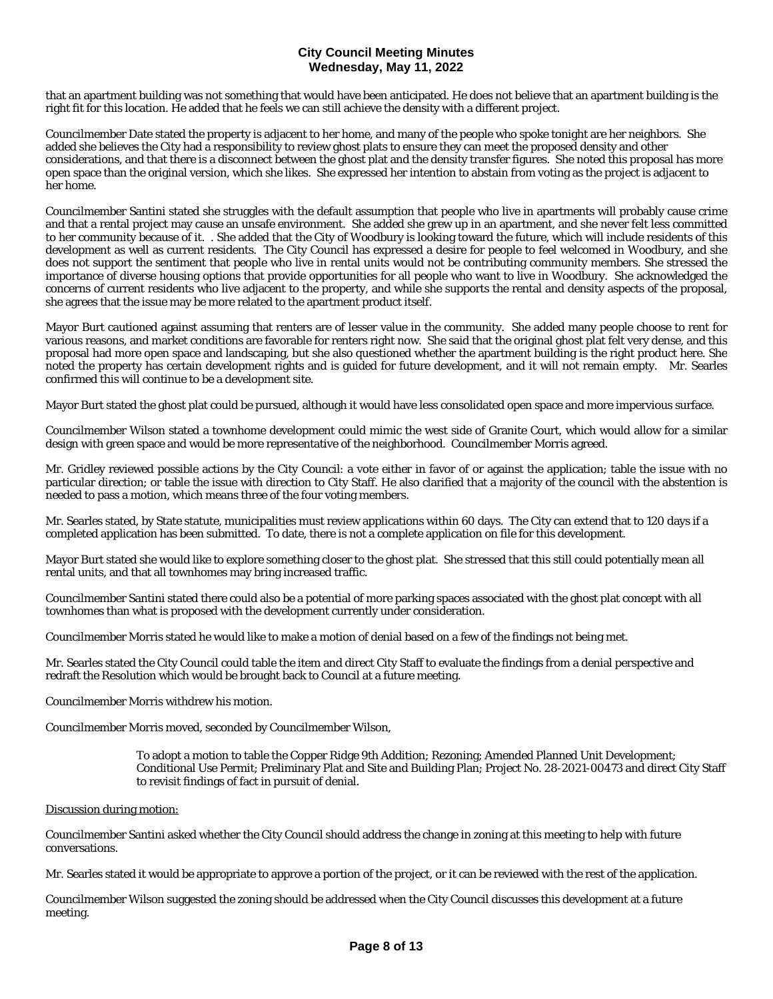that an apartment building was not something that would have been anticipated. He does not believe that an apartment building is the right fit for this location. He added that he feels we can still achieve the density with a different project.

Councilmember Date stated the property is adjacent to her home, and many of the people who spoke tonight are her neighbors. She added she believes the City had a responsibility to review ghost plats to ensure they can meet the proposed density and other considerations, and that there is a disconnect between the ghost plat and the density transfer figures. She noted this proposal has more open space than the original version, which she likes. She expressed her intention to abstain from voting as the project is adjacent to her home.

Councilmember Santini stated she struggles with the default assumption that people who live in apartments will probably cause crime and that a rental project may cause an unsafe environment. She added she grew up in an apartment, and she never felt less committed to her community because of it. . She added that the City of Woodbury is looking toward the future, which will include residents of this development as well as current residents. The City Council has expressed a desire for people to feel welcomed in Woodbury, and she does not support the sentiment that people who live in rental units would not be contributing community members. She stressed the importance of diverse housing options that provide opportunities for all people who want to live in Woodbury. She acknowledged the concerns of current residents who live adjacent to the property, and while she supports the rental and density aspects of the proposal, she agrees that the issue may be more related to the apartment product itself.

Mayor Burt cautioned against assuming that renters are of lesser value in the community. She added many people choose to rent for various reasons, and market conditions are favorable for renters right now. She said that the original ghost plat felt very dense, and this proposal had more open space and landscaping, but she also questioned whether the apartment building is the right product here. She noted the property has certain development rights and is guided for future development, and it will not remain empty. Mr. Searles confirmed this will continue to be a development site.

Mayor Burt stated the ghost plat could be pursued, although it would have less consolidated open space and more impervious surface.

Councilmember Wilson stated a townhome development could mimic the west side of Granite Court, which would allow for a similar design with green space and would be more representative of the neighborhood. Councilmember Morris agreed.

Mr. Gridley reviewed possible actions by the City Council: a vote either in favor of or against the application; table the issue with no particular direction; or table the issue with direction to City Staff. He also clarified that a majority of the council with the abstention is needed to pass a motion, which means three of the four voting members.

Mr. Searles stated, by State statute, municipalities must review applications within 60 days. The City can extend that to 120 days if a completed application has been submitted. To date, there is not a complete application on file for this development.

Mayor Burt stated she would like to explore something closer to the ghost plat. She stressed that this still could potentially mean all rental units, and that all townhomes may bring increased traffic.

Councilmember Santini stated there could also be a potential of more parking spaces associated with the ghost plat concept with all townhomes than what is proposed with the development currently under consideration.

Councilmember Morris stated he would like to make a motion of denial based on a few of the findings not being met.

Mr. Searles stated the City Council could table the item and direct City Staff to evaluate the findings from a denial perspective and redraft the Resolution which would be brought back to Council at a future meeting.

Councilmember Morris withdrew his motion.

Councilmember Morris moved, seconded by Councilmember Wilson,

To adopt a motion to table the Copper Ridge 9th Addition; Rezoning; Amended Planned Unit Development; Conditional Use Permit; Preliminary Plat and Site and Building Plan; Project No. 28-2021-00473 and direct City Staff to revisit findings of fact in pursuit of denial.

## Discussion during motion:

Councilmember Santini asked whether the City Council should address the change in zoning at this meeting to help with future conversations.

Mr. Searles stated it would be appropriate to approve a portion of the project, or it can be reviewed with the rest of the application.

Councilmember Wilson suggested the zoning should be addressed when the City Council discusses this development at a future meeting.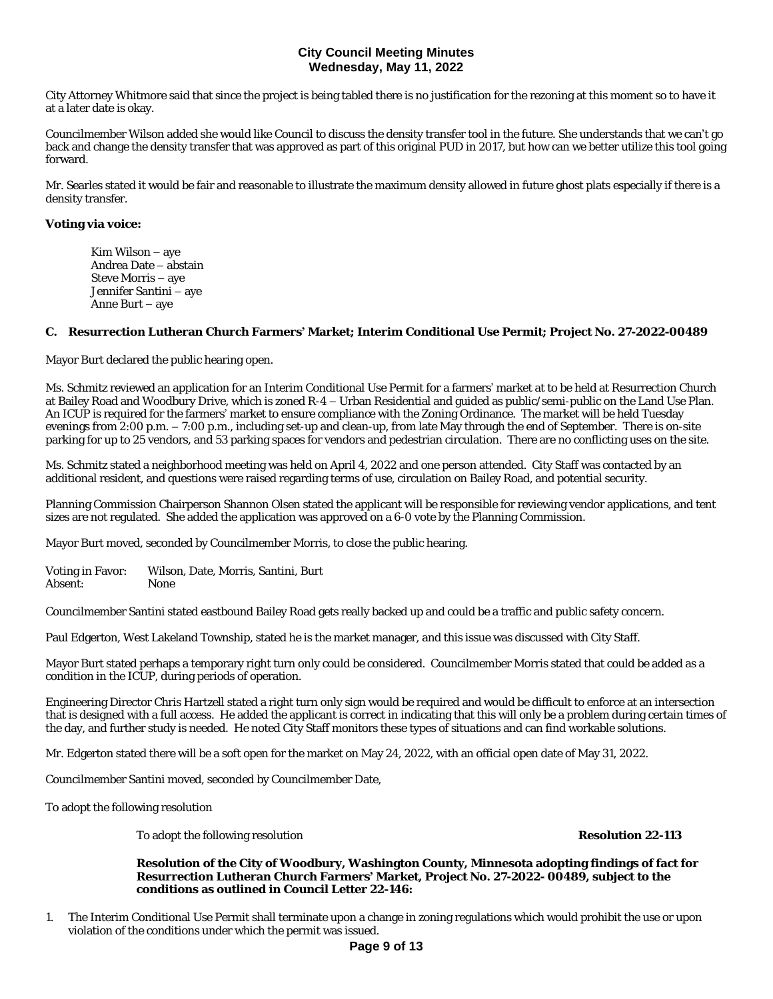City Attorney Whitmore said that since the project is being tabled there is no justification for the rezoning at this moment so to have it at a later date is okay.

Councilmember Wilson added she would like Council to discuss the density transfer tool in the future. She understands that we can't go back and change the density transfer that was approved as part of this original PUD in 2017, but how can we better utilize this tool going forward.

Mr. Searles stated it would be fair and reasonable to illustrate the maximum density allowed in future ghost plats especially if there is a density transfer.

## **Voting via voice:**

Kim Wilson – aye Andrea Date – abstain Steve Morris – aye Jennifer Santini – aye Anne Burt – aye

## **C. Resurrection Lutheran Church Farmers' Market; Interim Conditional Use Permit; Project No. 27-2022-00489**

Mayor Burt declared the public hearing open.

Ms. Schmitz reviewed an application for an Interim Conditional Use Permit for a farmers' market at to be held at Resurrection Church at Bailey Road and Woodbury Drive, which is zoned R-4 – Urban Residential and guided as public/semi-public on the Land Use Plan. An ICUP is required for the farmers' market to ensure compliance with the Zoning Ordinance. The market will be held Tuesday evenings from 2:00 p.m. – 7:00 p.m., including set-up and clean-up, from late May through the end of September. There is on-site parking for up to 25 vendors, and 53 parking spaces for vendors and pedestrian circulation. There are no conflicting uses on the site.

Ms. Schmitz stated a neighborhood meeting was held on April 4, 2022 and one person attended. City Staff was contacted by an additional resident, and questions were raised regarding terms of use, circulation on Bailey Road, and potential security.

Planning Commission Chairperson Shannon Olsen stated the applicant will be responsible for reviewing vendor applications, and tent sizes are not regulated. She added the application was approved on a 6-0 vote by the Planning Commission.

Mayor Burt moved, seconded by Councilmember Morris, to close the public hearing.

Voting in Favor: Wilson, Date, Morris, Santini, Burt Absent:

Councilmember Santini stated eastbound Bailey Road gets really backed up and could be a traffic and public safety concern.

Paul Edgerton, West Lakeland Township, stated he is the market manager, and this issue was discussed with City Staff.

Mayor Burt stated perhaps a temporary right turn only could be considered. Councilmember Morris stated that could be added as a condition in the ICUP, during periods of operation.

Engineering Director Chris Hartzell stated a right turn only sign would be required and would be difficult to enforce at an intersection that is designed with a full access. He added the applicant is correct in indicating that this will only be a problem during certain times of the day, and further study is needed. He noted City Staff monitors these types of situations and can find workable solutions.

Mr. Edgerton stated there will be a soft open for the market on May 24, 2022, with an official open date of May 31, 2022.

Councilmember Santini moved, seconded by Councilmember Date,

To adopt the following resolution

To adopt the following resolution **Resolution 22-113** 

#### **Resolution of the City of Woodbury, Washington County, Minnesota adopting findings of fact for Resurrection Lutheran Church Farmers' Market, Project No. 27-2022- 00489, subject to the conditions as outlined in Council Letter 22-146:**

1. The Interim Conditional Use Permit shall terminate upon a change in zoning regulations which would prohibit the use or upon violation of the conditions under which the permit was issued.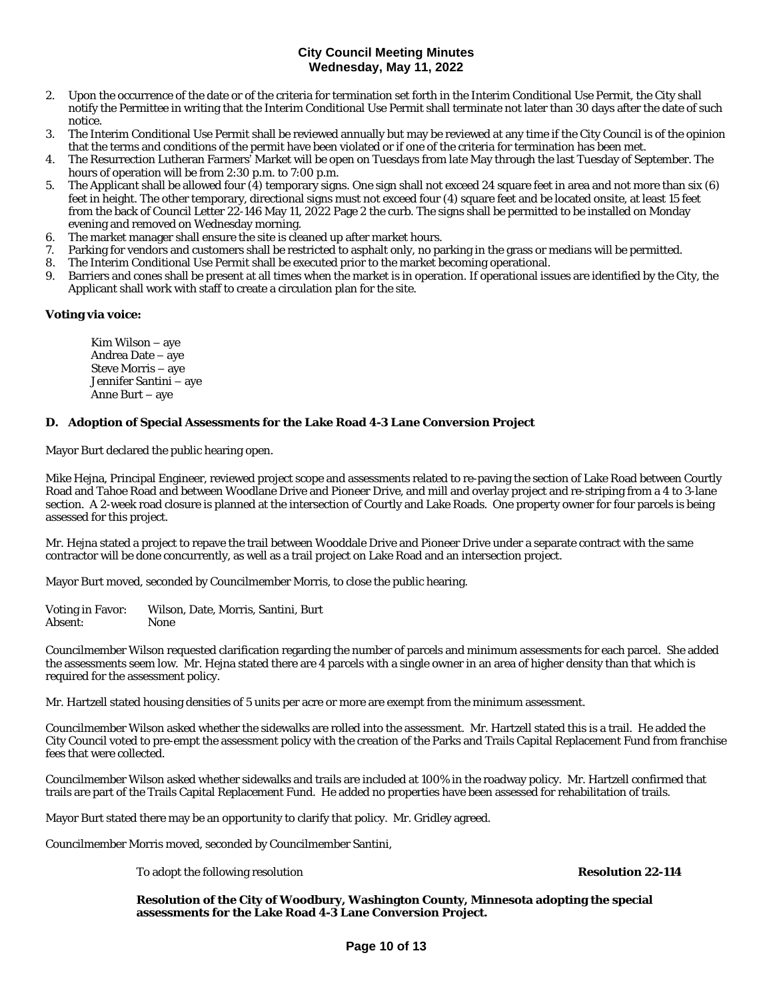- 2. Upon the occurrence of the date or of the criteria for termination set forth in the Interim Conditional Use Permit, the City shall notify the Permittee in writing that the Interim Conditional Use Permit shall terminate not later than 30 days after the date of such notice.
- 3. The Interim Conditional Use Permit shall be reviewed annually but may be reviewed at any time if the City Council is of the opinion that the terms and conditions of the permit have been violated or if one of the criteria for termination has been met.
- 4. The Resurrection Lutheran Farmers' Market will be open on Tuesdays from late May through the last Tuesday of September. The hours of operation will be from 2:30 p.m. to 7:00 p.m.
- 5. The Applicant shall be allowed four (4) temporary signs. One sign shall not exceed 24 square feet in area and not more than six (6) feet in height. The other temporary, directional signs must not exceed four (4) square feet and be located onsite, at least 15 feet from the back of Council Letter 22-146 May 11, 2022 Page 2 the curb. The signs shall be permitted to be installed on Monday evening and removed on Wednesday morning.
- 6. The market manager shall ensure the site is cleaned up after market hours.
- 7. Parking for vendors and customers shall be restricted to asphalt only, no parking in the grass or medians will be permitted.
- 8. The Interim Conditional Use Permit shall be executed prior to the market becoming operational.
- 9. Barriers and cones shall be present at all times when the market is in operation. If operational issues are identified by the City, the Applicant shall work with staff to create a circulation plan for the site.

## **Voting via voice:**

Kim Wilson – aye Andrea Date – aye Steve Morris – aye Jennifer Santini – aye Anne Burt – aye

## **D. Adoption of Special Assessments for the Lake Road 4-3 Lane Conversion Project**

Mayor Burt declared the public hearing open.

Mike Hejna, Principal Engineer, reviewed project scope and assessments related to re-paving the section of Lake Road between Courtly Road and Tahoe Road and between Woodlane Drive and Pioneer Drive, and mill and overlay project and re-striping from a 4 to 3-lane section. A 2-week road closure is planned at the intersection of Courtly and Lake Roads. One property owner for four parcels is being assessed for this project.

Mr. Hejna stated a project to repave the trail between Wooddale Drive and Pioneer Drive under a separate contract with the same contractor will be done concurrently, as well as a trail project on Lake Road and an intersection project.

Mayor Burt moved, seconded by Councilmember Morris, to close the public hearing.

Voting in Favor: Wilson, Date, Morris, Santini, Burt Absent:

Councilmember Wilson requested clarification regarding the number of parcels and minimum assessments for each parcel. She added the assessments seem low. Mr. Hejna stated there are 4 parcels with a single owner in an area of higher density than that which is required for the assessment policy.

Mr. Hartzell stated housing densities of 5 units per acre or more are exempt from the minimum assessment.

Councilmember Wilson asked whether the sidewalks are rolled into the assessment. Mr. Hartzell stated this is a trail. He added the City Council voted to pre-empt the assessment policy with the creation of the Parks and Trails Capital Replacement Fund from franchise fees that were collected.

Councilmember Wilson asked whether sidewalks and trails are included at 100% in the roadway policy. Mr. Hartzell confirmed that trails are part of the Trails Capital Replacement Fund. He added no properties have been assessed for rehabilitation of trails.

Mayor Burt stated there may be an opportunity to clarify that policy. Mr. Gridley agreed.

Councilmember Morris moved, seconded by Councilmember Santini,

To adopt the following resolution **Resolution 22-114**

**Resolution of the City of Woodbury, Washington County, Minnesota adopting the special assessments for the Lake Road 4-3 Lane Conversion Project.**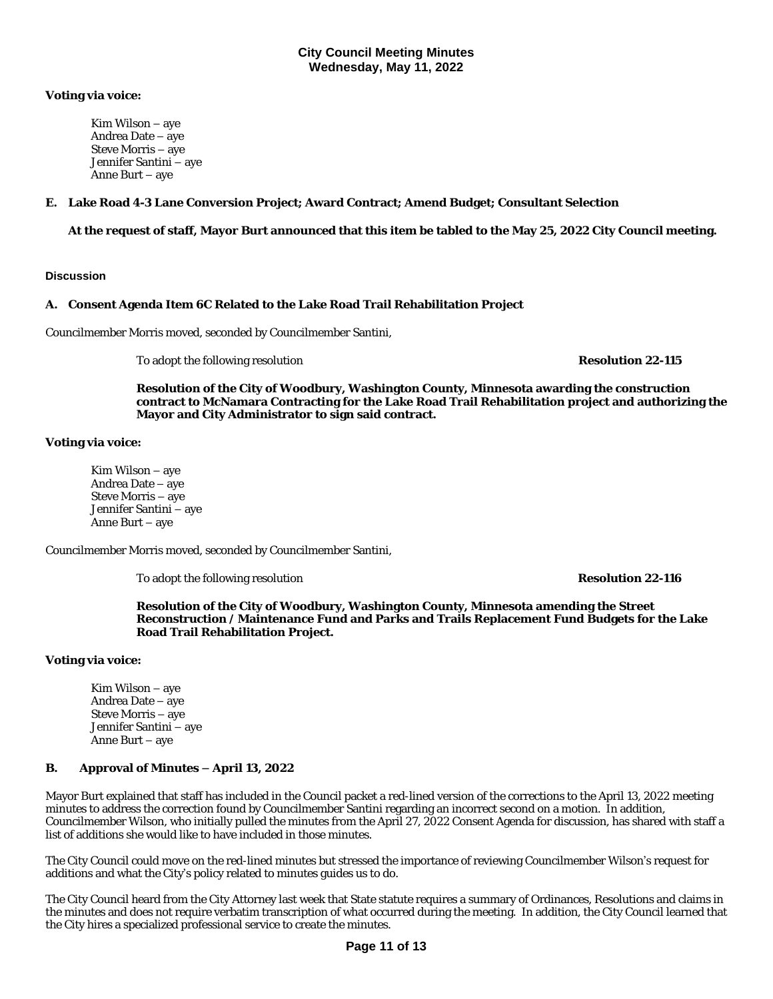## **Voting via voice:**

Kim Wilson – aye Andrea Date – aye Steve Morris – aye Jennifer Santini – aye Anne Burt – aye

## **E. Lake Road 4-3 Lane Conversion Project; Award Contract; Amend Budget; Consultant Selection**

**At the request of staff, Mayor Burt announced that this item be tabled to the May 25, 2022 City Council meeting.**

## **Discussion**

## **A. Consent Agenda Item 6C Related to the Lake Road Trail Rehabilitation Project**

Councilmember Morris moved, seconded by Councilmember Santini,

To adopt the following resolution **Resolution 22-115**

**Resolution of the City of Woodbury, Washington County, Minnesota awarding the construction contract to McNamara Contracting for the Lake Road Trail Rehabilitation project and authorizing the Mayor and City Administrator to sign said contract.** 

## **Voting via voice:**

Kim Wilson – aye Andrea Date – aye Steve Morris – aye Jennifer Santini – aye Anne Burt – aye

Councilmember Morris moved, seconded by Councilmember Santini,

To adopt the following resolution **Resolution 22-116**

**Resolution of the City of Woodbury, Washington County, Minnesota amending the Street Reconstruction / Maintenance Fund and Parks and Trails Replacement Fund Budgets for the Lake Road Trail Rehabilitation Project.**

## **Voting via voice:**

Kim Wilson – aye Andrea Date – aye Steve Morris – aye Jennifer Santini – aye Anne Burt – aye

## **B. Approval of Minutes – April 13, 2022**

Mayor Burt explained that staff has included in the Council packet a red-lined version of the corrections to the April 13, 2022 meeting minutes to address the correction found by Councilmember Santini regarding an incorrect second on a motion. In addition, Councilmember Wilson, who initially pulled the minutes from the April 27, 2022 Consent Agenda for discussion, has shared with staff a list of additions she would like to have included in those minutes.

The City Council could move on the red-lined minutes but stressed the importance of reviewing Councilmember Wilson's request for additions and what the City's policy related to minutes guides us to do.

The City Council heard from the City Attorney last week that State statute requires a summary of Ordinances, Resolutions and claims in the minutes and does not require verbatim transcription of what occurred during the meeting. In addition, the City Council learned that the City hires a specialized professional service to create the minutes.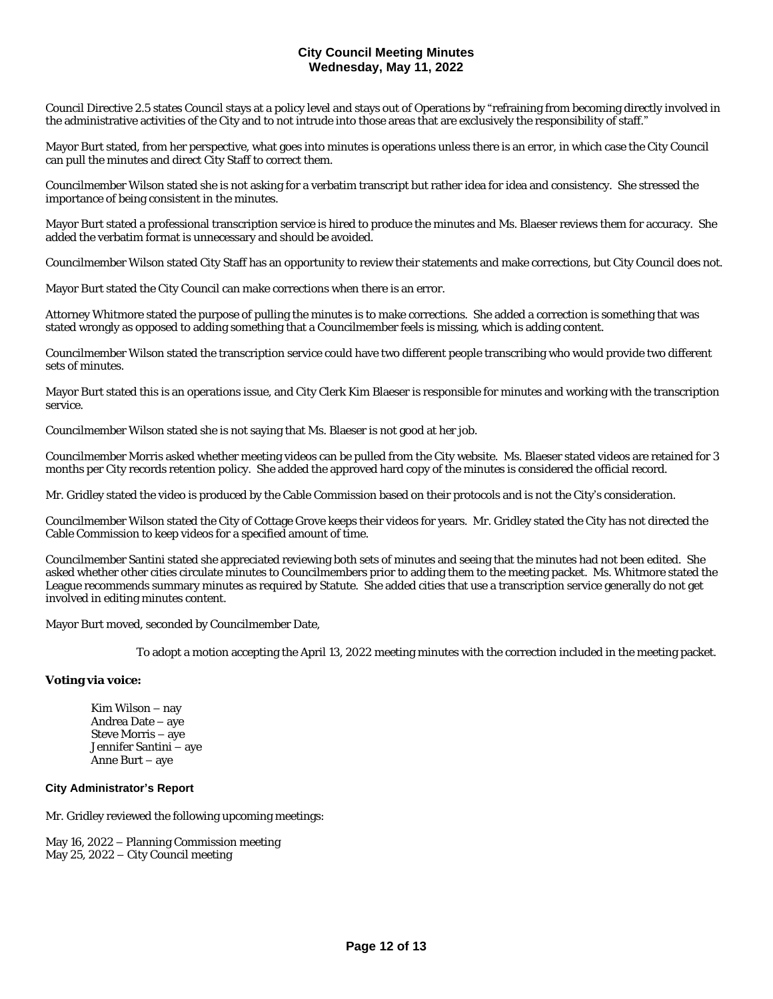Council Directive 2.5 states Council stays at a policy level and stays out of Operations by "refraining from becoming directly involved in the administrative activities of the City and to not intrude into those areas that are exclusively the responsibility of staff."

Mayor Burt stated, from her perspective, what goes into minutes is operations unless there is an error, in which case the City Council can pull the minutes and direct City Staff to correct them.

Councilmember Wilson stated she is not asking for a verbatim transcript but rather idea for idea and consistency. She stressed the importance of being consistent in the minutes.

Mayor Burt stated a professional transcription service is hired to produce the minutes and Ms. Blaeser reviews them for accuracy. She added the verbatim format is unnecessary and should be avoided.

Councilmember Wilson stated City Staff has an opportunity to review their statements and make corrections, but City Council does not.

Mayor Burt stated the City Council can make corrections when there is an error.

Attorney Whitmore stated the purpose of pulling the minutes is to make corrections. She added a correction is something that was stated wrongly as opposed to adding something that a Councilmember feels is missing, which is adding content.

Councilmember Wilson stated the transcription service could have two different people transcribing who would provide two different sets of minutes.

Mayor Burt stated this is an operations issue, and City Clerk Kim Blaeser is responsible for minutes and working with the transcription service.

Councilmember Wilson stated she is not saying that Ms. Blaeser is not good at her job.

Councilmember Morris asked whether meeting videos can be pulled from the City website. Ms. Blaeser stated videos are retained for 3 months per City records retention policy. She added the approved hard copy of the minutes is considered the official record.

Mr. Gridley stated the video is produced by the Cable Commission based on their protocols and is not the City's consideration.

Councilmember Wilson stated the City of Cottage Grove keeps their videos for years. Mr. Gridley stated the City has not directed the Cable Commission to keep videos for a specified amount of time.

Councilmember Santini stated she appreciated reviewing both sets of minutes and seeing that the minutes had not been edited. She asked whether other cities circulate minutes to Councilmembers prior to adding them to the meeting packet. Ms. Whitmore stated the League recommends summary minutes as required by Statute. She added cities that use a transcription service generally do not get involved in editing minutes content.

Mayor Burt moved, seconded by Councilmember Date,

To adopt a motion accepting the April 13, 2022 meeting minutes with the correction included in the meeting packet.

## **Voting via voice:**

Kim Wilson – nay Andrea Date – aye Steve Morris – aye Jennifer Santini – aye Anne Burt – aye

## **City Administrator's Report**

Mr. Gridley reviewed the following upcoming meetings:

May 16, 2022 – Planning Commission meeting May 25, 2022 – City Council meeting